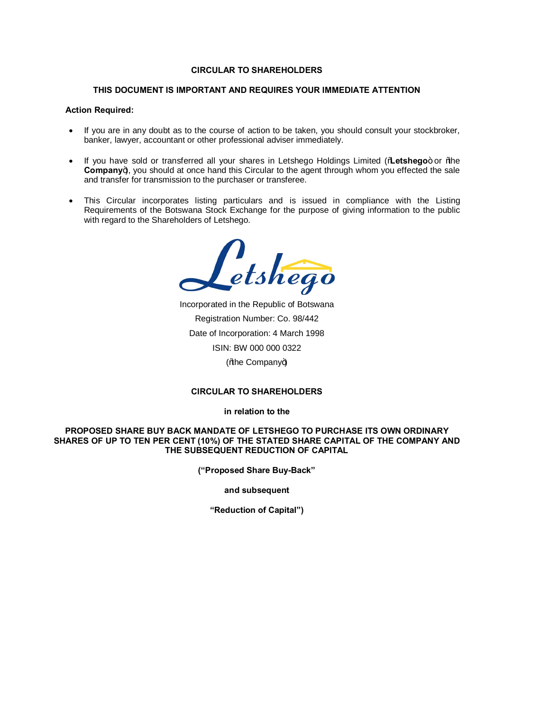# **CIRCULAR TO SHAREHOLDERS**

## **THIS DOCUMENT IS IMPORTANT AND REQUIRES YOUR IMMEDIATE ATTENTION**

## **Action Required:**

- · If you are in any doubt as to the course of action to be taken, you should consult your stockbroker, banker, lawyer, accountant or other professional adviser immediately.
- If you have sold or transferred all your shares in Letshego Holdings Limited (%Letshego+ or %the **Company**), you should at once hand this Circular to the agent through whom you effected the sale and transfer for transmission to the purchaser or transferee.
- · This Circular incorporates listing particulars and is issued in compliance with the Listing Requirements of the Botswana Stock Exchange for the purpose of giving information to the public with regard to the Shareholders of Letshego.

Letshego

Incorporated in the Republic of Botswana Registration Number: Co. 98/442 Date of Incorporation: 4 March 1998 ISIN: BW 000 000 0322 (% be Company+)

## **CIRCULAR TO SHAREHOLDERS**

**in relation to the**

## **PROPOSED SHARE BUY BACK MANDATE OF LETSHEGO TO PURCHASE ITS OWN ORDINARY SHARES OF UP TO TEN PER CENT (10%) OF THE STATED SHARE CAPITAL OF THE COMPANY AND THE SUBSEQUENT REDUCTION OF CAPITAL**

**("Proposed Share Buy-Back"**

**and subsequent** 

**"Reduction of Capital")**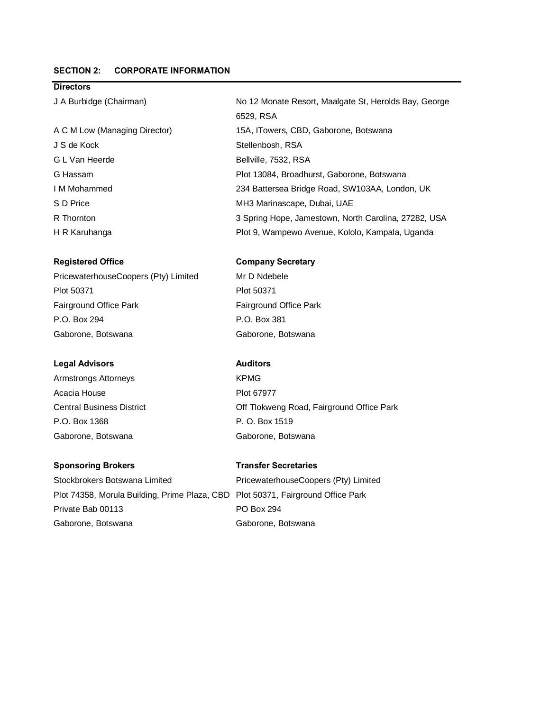# **SECTION 2: CORPORATE INFORMATION**

# **Directors**

J S de Kock Stellenbosh, RSA G L Van Heerde Bellville, 7532, RSA

## **Registered Office Company Secretary**

PricewaterhouseCoopers (Pty) Limited Mr D Ndebele Plot 50371 Plot 50371 Fairground Office Park Fairground Office Park P.O. Box 294 P.O. Box 381 Gaborone, Botswana Gaborone, Botswana

## **Legal Advisors Auditors**

Armstrongs Attorneys **KPMG** Acacia House **Plot 67977** P.O. Box 1368 P. O. Box 1519 Gaborone, Botswana Gaborone, Botswana

## **Sponsoring Brokers Transfer Secretaries**

Stockbrokers Botswana Limited PricewaterhouseCoopers (Pty) Limited Plot 74358, Morula Building, Prime Plaza, CBD Plot 50371, Fairground Office Park Private Bab 00113 PO Box 294 Gaborone, Botswana Gaborone, Botswana

J A Burbidge (Chairman) No 12 Monate Resort, Maalgate St, Herolds Bay, George 6529, RSA A C M Low (Managing Director) 15A, ITowers, CBD, Gaborone, Botswana G Hassam Plot 13084, Broadhurst, Gaborone, Botswana I M Mohammed 234 Battersea Bridge Road, SW103AA, London, UK S D Price MH3 Marinascape, Dubai, UAE R Thornton 3 Spring Hope, Jamestown, North Carolina, 27282, USA H R Karuhanga Plot 9, Wampewo Avenue, Kololo, Kampala, Uganda

Central Business District Off Tlokweng Road, Fairground Office Park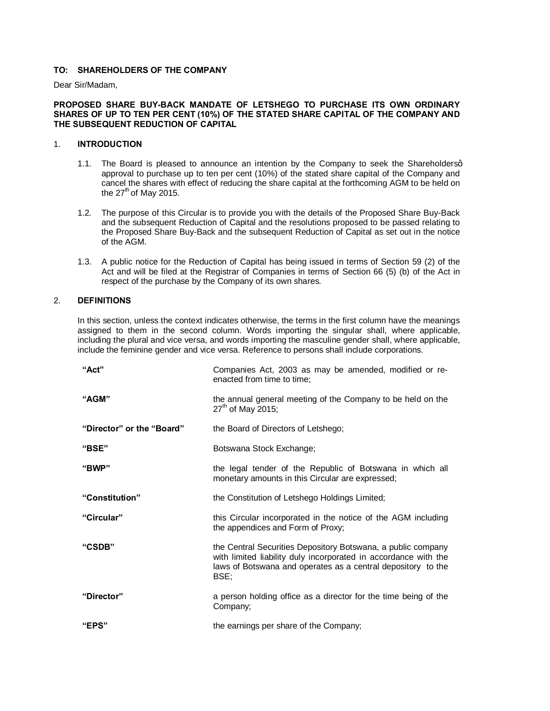# **TO: SHAREHOLDERS OF THE COMPANY**

Dear Sir/Madam,

## **PROPOSED SHARE BUY-BACK MANDATE OF LETSHEGO TO PURCHASE ITS OWN ORDINARY SHARES OF UP TO TEN PER CENT (10%) OF THE STATED SHARE CAPITAL OF THE COMPANY AND THE SUBSEQUENT REDUCTION OF CAPITAL**

# 1. **INTRODUCTION**

- 1.1. The Board is pleased to announce an intention by the Company to seek the Shareholdersq approval to purchase up to ten per cent (10%) of the stated share capital of the Company and cancel the shares with effect of reducing the share capital at the forthcoming AGM to be held on the  $27<sup>th</sup>$  of May 2015.
- 1.2. The purpose of this Circular is to provide you with the details of the Proposed Share Buy-Back and the subsequent Reduction of Capital and the resolutions proposed to be passed relating to the Proposed Share Buy-Back and the subsequent Reduction of Capital as set out in the notice of the AGM.
- 1.3. A public notice for the Reduction of Capital has being issued in terms of Section 59 (2) of the Act and will be filed at the Registrar of Companies in terms of Section 66 (5) (b) of the Act in respect of the purchase by the Company of its own shares.

## 2. **DEFINITIONS**

In this section, unless the context indicates otherwise, the terms in the first column have the meanings assigned to them in the second column. Words importing the singular shall, where applicable, including the plural and vice versa, and words importing the masculine gender shall, where applicable, include the feminine gender and vice versa. Reference to persons shall include corporations.

| "Act"                     | Companies Act, 2003 as may be amended, modified or re-<br>enacted from time to time;                                                                                                                    |
|---------------------------|---------------------------------------------------------------------------------------------------------------------------------------------------------------------------------------------------------|
| "AGM"                     | the annual general meeting of the Company to be held on the<br>$27^{th}$ of May 2015;                                                                                                                   |
| "Director" or the "Board" | the Board of Directors of Letshego;                                                                                                                                                                     |
| "BSE"                     | Botswana Stock Exchange;                                                                                                                                                                                |
| "BWP"                     | the legal tender of the Republic of Botswana in which all<br>monetary amounts in this Circular are expressed;                                                                                           |
| "Constitution"            | the Constitution of Letshego Holdings Limited;                                                                                                                                                          |
| "Circular"                | this Circular incorporated in the notice of the AGM including<br>the appendices and Form of Proxy;                                                                                                      |
| "CSDB"                    | the Central Securities Depository Botswana, a public company<br>with limited liability duly incorporated in accordance with the<br>laws of Botswana and operates as a central depository to the<br>BSE; |
| "Director"                | a person holding office as a director for the time being of the<br>Company;                                                                                                                             |
| "EPS"                     | the earnings per share of the Company;                                                                                                                                                                  |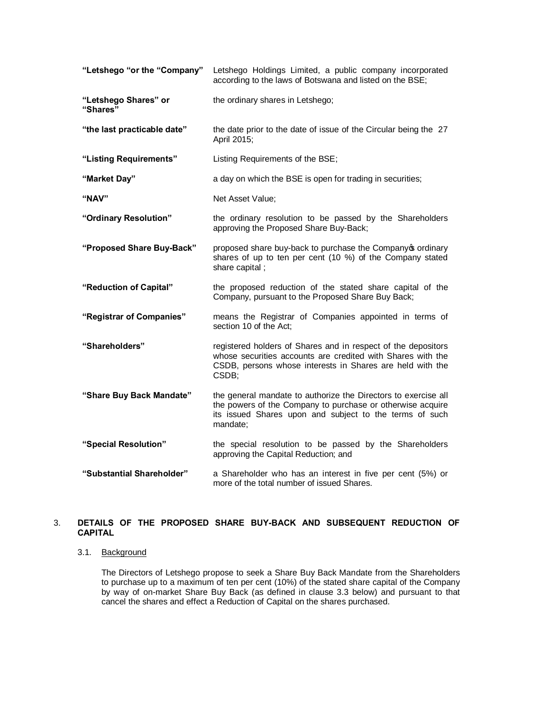| "Letshego "or the "Company"      | Letshego Holdings Limited, a public company incorporated<br>according to the laws of Botswana and listed on the BSE;                                                                                |
|----------------------------------|-----------------------------------------------------------------------------------------------------------------------------------------------------------------------------------------------------|
| "Letshego Shares" or<br>"Shares" | the ordinary shares in Letshego;                                                                                                                                                                    |
| "the last practicable date"      | the date prior to the date of issue of the Circular being the 27<br>April 2015;                                                                                                                     |
| "Listing Requirements"           | Listing Requirements of the BSE;                                                                                                                                                                    |
| "Market Day"                     | a day on which the BSE is open for trading in securities;                                                                                                                                           |
| "NAV"                            | Net Asset Value;                                                                                                                                                                                    |
| "Ordinary Resolution"            | the ordinary resolution to be passed by the Shareholders<br>approving the Proposed Share Buy-Back;                                                                                                  |
| "Proposed Share Buy-Back"        | proposed share buy-back to purchase the Companyos ordinary<br>shares of up to ten per cent (10 %) of the Company stated<br>share capital;                                                           |
| "Reduction of Capital"           | the proposed reduction of the stated share capital of the                                                                                                                                           |
|                                  | Company, pursuant to the Proposed Share Buy Back;                                                                                                                                                   |
| "Registrar of Companies"         | means the Registrar of Companies appointed in terms of<br>section 10 of the Act;                                                                                                                    |
| "Shareholders"                   | registered holders of Shares and in respect of the depositors<br>whose securities accounts are credited with Shares with the<br>CSDB, persons whose interests in Shares are held with the<br>CSDB;  |
| "Share Buy Back Mandate"         | the general mandate to authorize the Directors to exercise all<br>the powers of the Company to purchase or otherwise acquire<br>its issued Shares upon and subject to the terms of such<br>mandate; |
| "Special Resolution"             | the special resolution to be passed by the Shareholders<br>approving the Capital Reduction; and                                                                                                     |

# 3. **DETAILS OF THE PROPOSED SHARE BUY-BACK AND SUBSEQUENT REDUCTION OF CAPITAL**

## 3.1. Background

The Directors of Letshego propose to seek a Share Buy Back Mandate from the Shareholders to purchase up to a maximum of ten per cent (10%) of the stated share capital of the Company by way of on-market Share Buy Back (as defined in clause 3.3 below) and pursuant to that cancel the shares and effect a Reduction of Capital on the shares purchased.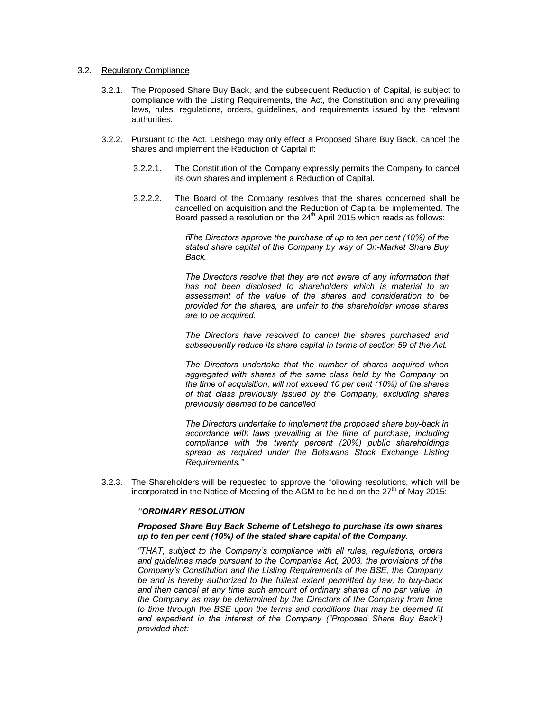#### 3.2. Regulatory Compliance

- 3.2.1. The Proposed Share Buy Back, and the subsequent Reduction of Capital, is subject to compliance with the Listing Requirements, the Act, the Constitution and any prevailing laws, rules, regulations, orders, guidelines, and requirements issued by the relevant authorities.
- 3.2.2. Pursuant to the Act, Letshego may only effect a Proposed Share Buy Back, cancel the shares and implement the Reduction of Capital if:
	- 3.2.2.1. The Constitution of the Company expressly permits the Company to cancel its own shares and implement a Reduction of Capital.
	- 3.2.2.2. The Board of the Company resolves that the shares concerned shall be cancelled on acquisition and the Reduction of Capital be implemented. The Board passed a resolution on the  $24<sup>th</sup>$  April 2015 which reads as follows:

"*The Directors approve the purchase of up to ten per cent (10%) of the stated share capital of the Company by way of On-Market Share Buy Back.* 

*The Directors resolve that they are not aware of any information that has not been disclosed to shareholders which is material to an assessment of the value of the shares and consideration to be provided for the shares, are unfair to the shareholder whose shares are to be acquired.*

*The Directors have resolved to cancel the shares purchased and subsequently reduce its share capital in terms of section 59 of the Act.*

*The Directors undertake that the number of shares acquired when aggregated with shares of the same class held by the Company on the time of acquisition, will not exceed 10 per cent (10%) of the shares of that class previously issued by the Company, excluding shares previously deemed to be cancelled*

*The Directors undertake to implement the proposed share buy-back in accordance with laws prevailing at the time of purchase, including compliance with the twenty percent (20%) public shareholdings spread as required under the Botswana Stock Exchange Listing Requirements."*

3.2.3. The Shareholders will be requested to approve the following resolutions, which will be incorporated in the Notice of Meeting of the AGM to be held on the  $27<sup>th</sup>$  of May 2015:

## *"ORDINARY RESOLUTION*

## *Proposed Share Buy Back Scheme of Letshego to purchase its own shares up to ten per cent (10%) of the stated share capital of the Company.*

*"THAT, subject to the Company's compliance with all rules, regulations, orders and guidelines made pursuant to the Companies Act, 2003, the provisions of the Company's Constitution and the Listing Requirements of the BSE, the Company be and is hereby authorized to the fullest extent permitted by law, to buy-back and then cancel at any time such amount of ordinary shares of no par value in the Company as may be determined by the Directors of the Company from time to time through the BSE upon the terms and conditions that may be deemed fit and expedient in the interest of the Company ("Proposed Share Buy Back") provided that:*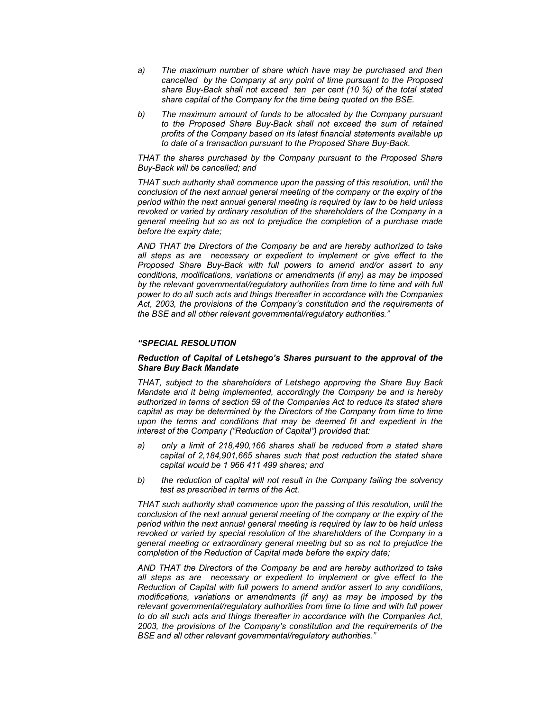- *a) The maximum number of share which have may be purchased and then cancelled by the Company at any point of time pursuant to the Proposed share Buy-Back shall not exceed ten per cent (10 %) of the total stated share capital of the Company for the time being quoted on the BSE.*
- *b) The maximum amount of funds to be allocated by the Company pursuant to the Proposed Share Buy-Back shall not exceed the sum of retained profits of the Company based on its latest financial statements available up to date of a transaction pursuant to the Proposed Share Buy-Back.*

*THAT the shares purchased by the Company pursuant to the Proposed Share Buy-Back will be cancelled; and*

*THAT such authority shall commence upon the passing of this resolution, until the conclusion of the next annual general meeting of the company or the expiry of the period within the next annual general meeting is required by law to be held unless*  revoked or varied by ordinary resolution of the shareholders of the Company in a *general meeting but so as not to prejudice the completion of a purchase made before the expiry date;*

*AND THAT the Directors of the Company be and are hereby authorized to take all steps as are necessary or expedient to implement or give effect to the Proposed Share Buy-Back with full powers to amend and/or assert to any conditions, modifications, variations or amendments (if any) as may be imposed*  by the relevant governmental/regulatory authorities from time to time and with full *power to do all such acts and things thereafter in accordance with the Companies Act, 2003, the provisions of the Company's constitution and the requirements of the BSE and all other relevant governmental/regulatory authorities."*

#### *"SPECIAL RESOLUTION*

## *Reduction of Capital of Letshego's Shares pursuant to the approval of the Share Buy Back Mandate*

*THAT, subject to the shareholders of Letshego approving the Share Buy Back Mandate and it being implemented, accordingly the Company be and is hereby authorized in terms of section 59 of the Companies Act to reduce its stated share capital as may be determined by the Directors of the Company from time to time upon the terms and conditions that may be deemed fit and expedient in the interest of the Company ("Reduction of Capital") provided that:*

- *a) only a limit of 218,490,166 shares shall be reduced from a stated share capital of 2,184,901,665 shares such that post reduction the stated share capital would be 1 966 411 499 shares; and*
- *b) the reduction of capital will not result in the Company failing the solvency test as prescribed in terms of the Act.*

*THAT such authority shall commence upon the passing of this resolution, until the conclusion of the next annual general meeting of the company or the expiry of the period within the next annual general meeting is required by law to be held unless revoked or varied by special resolution of the shareholders of the Company in a general meeting or extraordinary general meeting but so as not to prejudice the completion of the Reduction of Capital made before the expiry date;*

*AND THAT the Directors of the Company be and are hereby authorized to take all steps as are necessary or expedient to implement or give effect to the Reduction of Capital with full powers to amend and/or assert to any conditions, modifications, variations or amendments (if any) as may be imposed by the relevant governmental/regulatory authorities from time to time and with full power to do all such acts and things thereafter in accordance with the Companies Act, 2003, the provisions of the Company's constitution and the requirements of the BSE and all other relevant governmental/regulatory authorities."*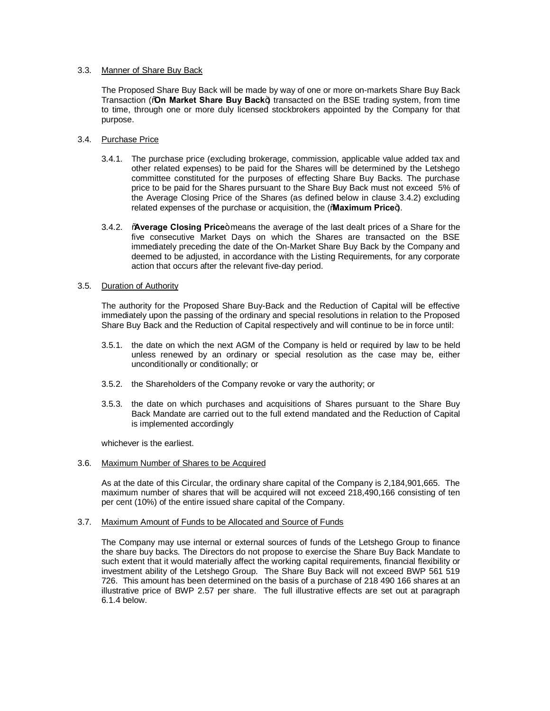## 3.3. Manner of Share Buy Back

The Proposed Share Buy Back will be made by way of one or more on-markets Share Buy Back Transaction (%**On Market Share Buy Back**+) transacted on the BSE trading system, from time to time, through one or more duly licensed stockbrokers appointed by the Company for that purpose.

## 3.4. Purchase Price

- 3.4.1. The purchase price (excluding brokerage, commission, applicable value added tax and other related expenses) to be paid for the Shares will be determined by the Letshego committee constituted for the purposes of effecting Share Buy Backs. The purchase price to be paid for the Shares pursuant to the Share Buy Back must not exceed 5% of the Average Closing Price of the Shares (as defined below in clause 3.4.2) excluding related expenses of the purchase or acquisition, the (Maximum Price+).
- 3.4.2. **Average Closing Price**+ means the average of the last dealt prices of a Share for the five consecutive Market Days on which the Shares are transacted on the BSE immediately preceding the date of the On-Market Share Buy Back by the Company and deemed to be adjusted, in accordance with the Listing Requirements, for any corporate action that occurs after the relevant five-day period.

## 3.5. Duration of Authority

The authority for the Proposed Share Buy-Back and the Reduction of Capital will be effective immediately upon the passing of the ordinary and special resolutions in relation to the Proposed Share Buy Back and the Reduction of Capital respectively and will continue to be in force until:

- 3.5.1. the date on which the next AGM of the Company is held or required by law to be held unless renewed by an ordinary or special resolution as the case may be, either unconditionally or conditionally; or
- 3.5.2. the Shareholders of the Company revoke or vary the authority; or
- 3.5.3. the date on which purchases and acquisitions of Shares pursuant to the Share Buy Back Mandate are carried out to the full extend mandated and the Reduction of Capital is implemented accordingly

whichever is the earliest.

3.6. Maximum Number of Shares to be Acquired

As at the date of this Circular, the ordinary share capital of the Company is 2,184,901,665. The maximum number of shares that will be acquired will not exceed 218,490,166 consisting of ten per cent (10%) of the entire issued share capital of the Company.

#### 3.7. Maximum Amount of Funds to be Allocated and Source of Funds

The Company may use internal or external sources of funds of the Letshego Group to finance the share buy backs. The Directors do not propose to exercise the Share Buy Back Mandate to such extent that it would materially affect the working capital requirements, financial flexibility or investment ability of the Letshego Group. The Share Buy Back will not exceed BWP 561 519 726. This amount has been determined on the basis of a purchase of 218 490 166 shares at an illustrative price of BWP 2.57 per share. The full illustrative effects are set out at paragraph 6.1.4 below.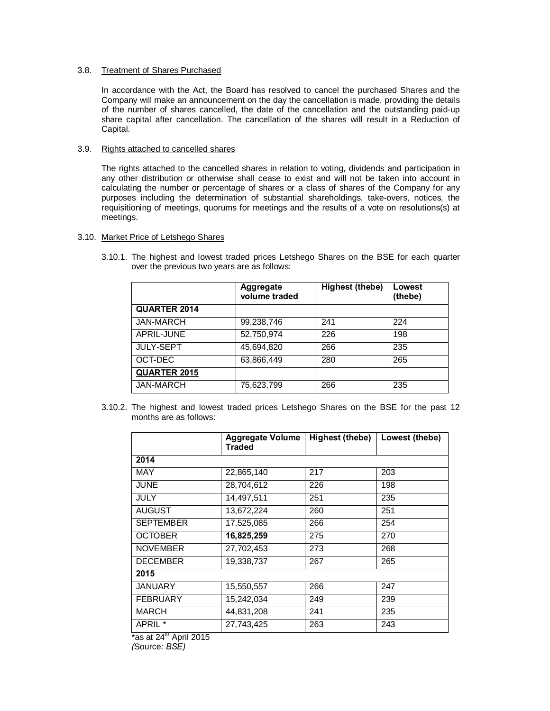## 3.8. Treatment of Shares Purchased

In accordance with the Act, the Board has resolved to cancel the purchased Shares and the Company will make an announcement on the day the cancellation is made, providing the details of the number of shares cancelled, the date of the cancellation and the outstanding paid-up share capital after cancellation. The cancellation of the shares will result in a Reduction of Capital.

# 3.9. Rights attached to cancelled shares

The rights attached to the cancelled shares in relation to voting, dividends and participation in any other distribution or otherwise shall cease to exist and will not be taken into account in calculating the number or percentage of shares or a class of shares of the Company for any purposes including the determination of substantial shareholdings, take-overs, notices, the requisitioning of meetings, quorums for meetings and the results of a vote on resolutions(s) at meetings.

## 3.10. Market Price of Letshego Shares

3.10.1. The highest and lowest traded prices Letshego Shares on the BSE for each quarter over the previous two years are as follows:

|                     | <b>Aggregate</b><br>volume traded | Highest (thebe) | Lowest<br>(thebe) |
|---------------------|-----------------------------------|-----------------|-------------------|
| <b>QUARTER 2014</b> |                                   |                 |                   |
| <b>JAN-MARCH</b>    | 99,238,746                        | 241             | 224               |
| APRIL-JUNE          | 52,750,974                        | 226             | 198               |
| <b>JULY-SEPT</b>    | 45,694,820                        | 266             | 235               |
| OCT-DEC             | 63,866,449                        | 280             | 265               |
| <b>QUARTER 2015</b> |                                   |                 |                   |
| <b>JAN-MARCH</b>    | 75,623,799                        | 266             | 235               |

3.10.2. The highest and lowest traded prices Letshego Shares on the BSE for the past 12 months are as follows:

|                                                             | <b>Aggregate Volume</b><br><b>Traded</b> | <b>Highest (thebe)</b> | Lowest (thebe) |
|-------------------------------------------------------------|------------------------------------------|------------------------|----------------|
| 2014                                                        |                                          |                        |                |
| <b>MAY</b>                                                  | 22,865,140                               | 217                    | 203            |
| JUNE                                                        | 28,704,612                               | 226                    | 198            |
| <b>JULY</b>                                                 | 14,497,511                               | 251                    | 235            |
| <b>AUGUST</b>                                               | 13,672,224                               | 260                    | 251            |
| <b>SEPTEMBER</b>                                            | 17,525,085                               | 266                    | 254            |
| <b>OCTOBER</b>                                              | 16,825,259                               | 275                    | 270            |
| <b>NOVEMBER</b>                                             | 27,702,453                               | 273                    | 268            |
| <b>DECEMBER</b>                                             | 19,338,737                               | 267                    | 265            |
| 2015                                                        |                                          |                        |                |
| JANUARY                                                     | 15,550,557                               | 266                    | 247            |
| <b>FEBRUARY</b>                                             | 15,242,034                               | 249                    | 239            |
| <b>MARCH</b>                                                | 44,831,208                               | 241                    | 235            |
| APRIL <sup>*</sup><br>$*_{0.0}$ of $0.4^{th}$ April $0.04E$ | 27,743,425                               | 263                    | 243            |

\*as at 24''' April 2015 *(*Source*: BSE)*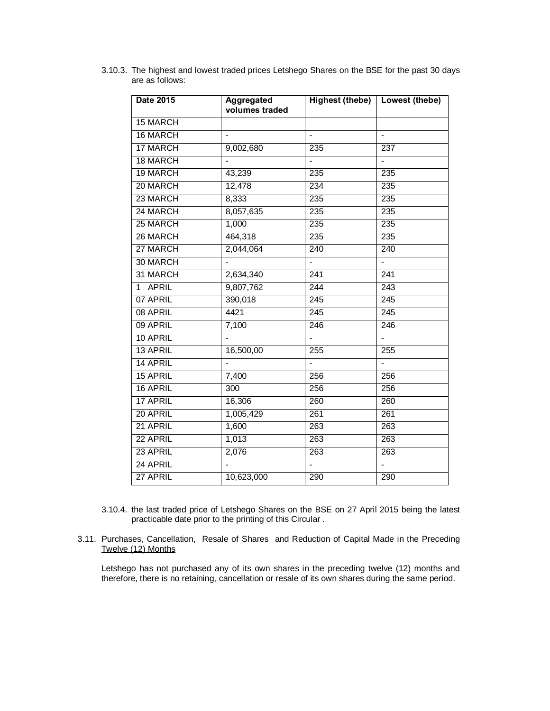| <b>Date 2015</b> | <b>Aggregated</b><br>volumes traded |                          | Highest (thebe)   Lowest (thebe) |
|------------------|-------------------------------------|--------------------------|----------------------------------|
| <b>15 MARCH</b>  |                                     |                          |                                  |
| 16 MARCH         |                                     | $\blacksquare$           | $\blacksquare$                   |
| 17 MARCH         | 9,002,680                           | 235                      | 237                              |
| 18 MARCH         |                                     |                          |                                  |
| 19 MARCH         | 43,239                              | 235                      | 235                              |
| 20 MARCH         | 12,478                              | 234                      | 235                              |
| 23 MARCH         | 8,333                               | 235                      | 235                              |
| 24 MARCH         | 8,057,635                           | 235                      | 235                              |
| 25 MARCH         | 1,000                               | 235                      | 235                              |
| 26 MARCH         | 464,318                             | 235                      | 235                              |
| 27 MARCH         | 2,044,064                           | 240                      | 240                              |
| 30 MARCH         |                                     | $\overline{\phantom{a}}$ | $\blacksquare$                   |
| 31 MARCH         | 2,634,340                           | 241                      | 241                              |
| 1 APRIL          | 9,807,762                           | 244                      | 243                              |
| 07 APRIL         | 390,018                             | 245                      | 245                              |
| 08 APRIL         | 4421                                | 245                      | $\overline{245}$                 |
| 09 APRIL         | 7,100                               | $\overline{246}$         | 246                              |
| 10 APRIL         |                                     |                          |                                  |
| 13 APRIL         | 16,500,00                           | 255                      | 255                              |
| 14 APRIL         |                                     |                          |                                  |
| 15 APRIL         | 7,400                               | 256                      | 256                              |
| 16 APRIL         | 300                                 | 256                      | 256                              |
| 17 APRIL         | 16,306                              | 260                      | 260                              |
| 20 APRIL         | 1,005,429                           | $\overline{261}$         | 261                              |
| 21 APRIL         | 1,600                               | 263                      | 263                              |
| 22 APRIL         | 1,013                               | 263                      | 263                              |
| 23 APRIL         | 2,076                               | 263                      | 263                              |
| 24 APRIL         |                                     | $\overline{\phantom{a}}$ | $\overline{\phantom{a}}$         |
| 27 APRIL         | 10,623,000                          | 290                      | 290                              |

3.10.3. The highest and lowest traded prices Letshego Shares on the BSE for the past 30 days are as follows:

- 3.10.4. the last traded price of Letshego Shares on the BSE on 27 April 2015 being the latest practicable date prior to the printing of this Circular .
- 3.11. Purchases, Cancellation, Resale of Shares and Reduction of Capital Made in the Preceding Twelve (12) Months

Letshego has not purchased any of its own shares in the preceding twelve (12) months and therefore, there is no retaining, cancellation or resale of its own shares during the same period.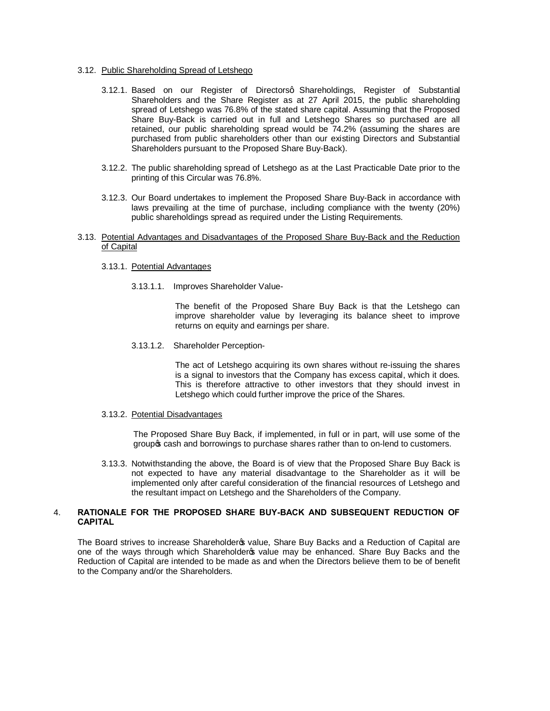## 3.12. Public Shareholding Spread of Letshego

- 3.12.1. Based on our Register of Directorsg Shareholdings, Register of Substantial Shareholders and the Share Register as at 27 April 2015, the public shareholding spread of Letshego was 76.8% of the stated share capital. Assuming that the Proposed Share Buy-Back is carried out in full and Letshego Shares so purchased are all retained, our public shareholding spread would be 74.2% (assuming the shares are purchased from public shareholders other than our existing Directors and Substantial Shareholders pursuant to the Proposed Share Buy-Back).
- 3.12.2. The public shareholding spread of Letshego as at the Last Practicable Date prior to the printing of this Circular was 76.8%.
- 3.12.3. Our Board undertakes to implement the Proposed Share Buy-Back in accordance with laws prevailing at the time of purchase, including compliance with the twenty (20%) public shareholdings spread as required under the Listing Requirements.
- 3.13. Potential Advantages and Disadvantages of the Proposed Share Buy-Back and the Reduction of Capital
	- 3.13.1. Potential Advantages
		- 3.13.1.1. Improves Shareholder Value-

The benefit of the Proposed Share Buy Back is that the Letshego can improve shareholder value by leveraging its balance sheet to improve returns on equity and earnings per share.

3.13.1.2. Shareholder Perception-

The act of Letshego acquiring its own shares without re-issuing the shares is a signal to investors that the Company has excess capital, which it does. This is therefore attractive to other investors that they should invest in Letshego which could further improve the price of the Shares.

#### 3.13.2. Potential Disadvantages

The Proposed Share Buy Back, if implemented, in full or in part, will use some of the group cash and borrowings to purchase shares rather than to on-lend to customers.

3.13.3. Notwithstanding the above, the Board is of view that the Proposed Share Buy Back is not expected to have any material disadvantage to the Shareholder as it will be implemented only after careful consideration of the financial resources of Letshego and the resultant impact on Letshego and the Shareholders of the Company.

## 4. **RATIONALE FOR THE PROPOSED SHARE BUY-BACK AND SUBSEQUENT REDUCTION OF CAPITAL**

The Board strives to increase Shareholder o value, Share Buy Backs and a Reduction of Capital are one of the ways through which Shareholder op value may be enhanced. Share Buy Backs and the Reduction of Capital are intended to be made as and when the Directors believe them to be of benefit to the Company and/or the Shareholders.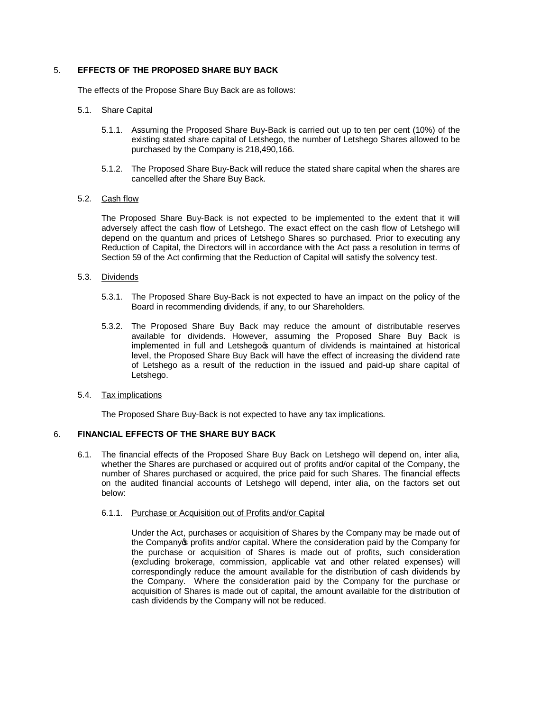## 5. **EFFECTS OF THE PROPOSED SHARE BUY BACK**

The effects of the Propose Share Buy Back are as follows:

## 5.1. Share Capital

- 5.1.1. Assuming the Proposed Share Buy-Back is carried out up to ten per cent (10%) of the existing stated share capital of Letshego, the number of Letshego Shares allowed to be purchased by the Company is 218,490,166.
- 5.1.2. The Proposed Share Buy-Back will reduce the stated share capital when the shares are cancelled after the Share Buy Back.

## 5.2. Cash flow

The Proposed Share Buy-Back is not expected to be implemented to the extent that it will adversely affect the cash flow of Letshego. The exact effect on the cash flow of Letshego will depend on the quantum and prices of Letshego Shares so purchased. Prior to executing any Reduction of Capital, the Directors will in accordance with the Act pass a resolution in terms of Section 59 of the Act confirming that the Reduction of Capital will satisfy the solvency test.

### 5.3. Dividends

- 5.3.1. The Proposed Share Buy-Back is not expected to have an impact on the policy of the Board in recommending dividends, if any, to our Shareholders.
- 5.3.2. The Proposed Share Buy Back may reduce the amount of distributable reserves available for dividends. However, assuming the Proposed Share Buy Back is implemented in full and Letshegors quantum of dividends is maintained at historical level, the Proposed Share Buy Back will have the effect of increasing the dividend rate of Letshego as a result of the reduction in the issued and paid-up share capital of Letshego.

## 5.4. Tax implications

The Proposed Share Buy-Back is not expected to have any tax implications.

## 6. **FINANCIAL EFFECTS OF THE SHARE BUY BACK**

6.1. The financial effects of the Proposed Share Buy Back on Letshego will depend on, inter alia, whether the Shares are purchased or acquired out of profits and/or capital of the Company, the number of Shares purchased or acquired, the price paid for such Shares. The financial effects on the audited financial accounts of Letshego will depend, inter alia, on the factors set out below:

## 6.1.1. Purchase or Acquisition out of Profits and/or Capital

Under the Act, purchases or acquisition of Shares by the Company may be made out of the Company op profits and/or capital. Where the consideration paid by the Company for the purchase or acquisition of Shares is made out of profits, such consideration (excluding brokerage, commission, applicable vat and other related expenses) will correspondingly reduce the amount available for the distribution of cash dividends by the Company. Where the consideration paid by the Company for the purchase or acquisition of Shares is made out of capital, the amount available for the distribution of cash dividends by the Company will not be reduced.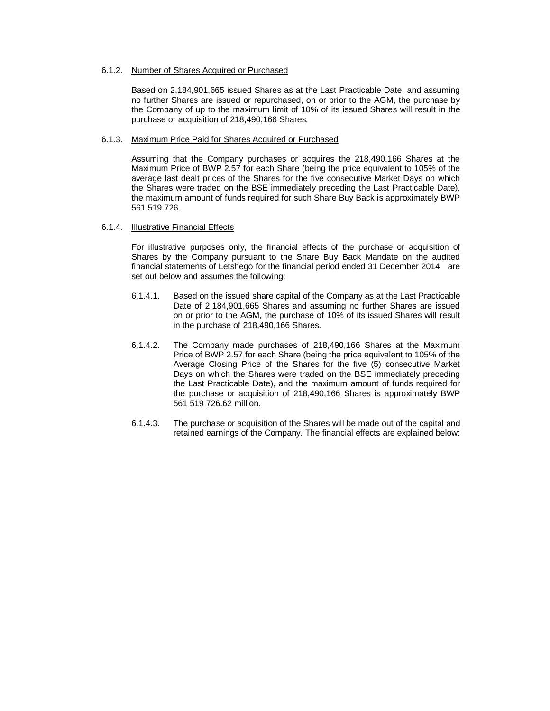## 6.1.2. Number of Shares Acquired or Purchased

Based on 2,184,901,665 issued Shares as at the Last Practicable Date, and assuming no further Shares are issued or repurchased, on or prior to the AGM, the purchase by the Company of up to the maximum limit of 10% of its issued Shares will result in the purchase or acquisition of 218,490,166 Shares.

### 6.1.3. Maximum Price Paid for Shares Acquired or Purchased

Assuming that the Company purchases or acquires the 218,490,166 Shares at the Maximum Price of BWP 2.57 for each Share (being the price equivalent to 105% of the average last dealt prices of the Shares for the five consecutive Market Days on which the Shares were traded on the BSE immediately preceding the Last Practicable Date), the maximum amount of funds required for such Share Buy Back is approximately BWP 561 519 726.

## 6.1.4. Illustrative Financial Effects

For illustrative purposes only, the financial effects of the purchase or acquisition of Shares by the Company pursuant to the Share Buy Back Mandate on the audited financial statements of Letshego for the financial period ended 31 December 2014 are set out below and assumes the following:

- 6.1.4.1. Based on the issued share capital of the Company as at the Last Practicable Date of 2,184,901,665 Shares and assuming no further Shares are issued on or prior to the AGM, the purchase of 10% of its issued Shares will result in the purchase of 218,490,166 Shares.
- 6.1.4.2. The Company made purchases of 218,490,166 Shares at the Maximum Price of BWP 2.57 for each Share (being the price equivalent to 105% of the Average Closing Price of the Shares for the five (5) consecutive Market Days on which the Shares were traded on the BSE immediately preceding the Last Practicable Date), and the maximum amount of funds required for the purchase or acquisition of 218,490,166 Shares is approximately BWP 561 519 726.62 million.
- 6.1.4.3. The purchase or acquisition of the Shares will be made out of the capital and retained earnings of the Company. The financial effects are explained below: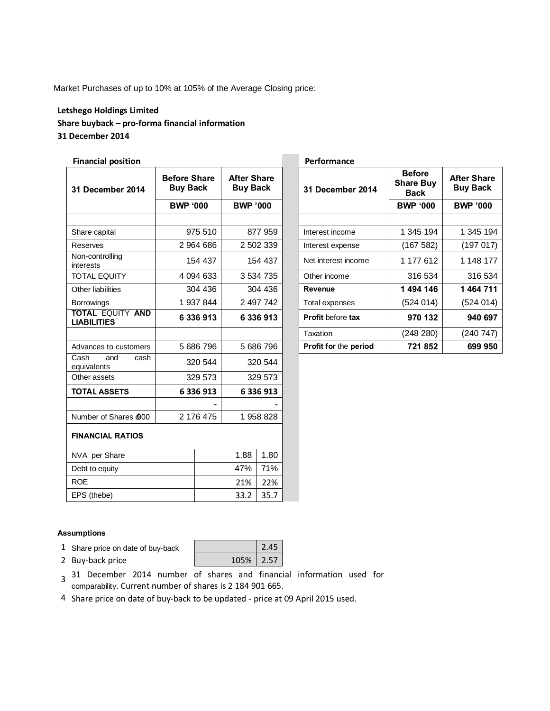Market Purchases of up to 10% at 105% of the Average Closing price:

# **Letshego Holdings Limited Share buyback – pro-forma financial information 31 December 2014**

# **Financial position Performance**

| 31 December 2014                              | <b>Before Share</b><br><b>Buy Back</b> | <b>After Share</b><br><b>Buy Back</b> |      |                          |                 |                 |  | 31 December 2014 | <b>Before</b><br><b>Share Buy</b><br><b>Back</b> | <b>After Share</b><br><b>Buy Back</b> |
|-----------------------------------------------|----------------------------------------|---------------------------------------|------|--------------------------|-----------------|-----------------|--|------------------|--------------------------------------------------|---------------------------------------|
|                                               | <b>BWP '000</b>                        | <b>BWP '000</b>                       |      |                          | <b>BWP '000</b> | <b>BWP '000</b> |  |                  |                                                  |                                       |
|                                               |                                        |                                       |      |                          |                 |                 |  |                  |                                                  |                                       |
| Share capital                                 | 975 510                                | 877 959                               |      | Interest income          | 1 345 194       | 1 345 194       |  |                  |                                                  |                                       |
| Reserves                                      | 2 964 686                              | 2 502 339                             |      | Interest expense         | (167582)        | (197017)        |  |                  |                                                  |                                       |
| Non-controlling<br>interests                  | 154 437                                | 154 437                               |      | Net interest income      | 1 177 612       | 1 148 177       |  |                  |                                                  |                                       |
| <b>TOTAL EQUITY</b>                           | 4 0 94 6 33                            | 3 534 735                             |      | Other income             | 316 534         | 316 534         |  |                  |                                                  |                                       |
| Other liabilities                             | 304 436                                | 304 436                               |      | <b>Revenue</b>           | 1 494 146       | 1 464 711       |  |                  |                                                  |                                       |
| <b>Borrowings</b>                             | 1 937 844                              | 2 497 742                             |      | Total expenses           | (524014)        | (524 014)       |  |                  |                                                  |                                       |
| <b>TOTAL EQUITY AND</b><br><b>LIABILITIES</b> | 6 336 913                              | 6 336 913                             |      | <b>Profit before tax</b> | 970 132         | 940 697         |  |                  |                                                  |                                       |
|                                               |                                        |                                       |      | Taxation                 | (248 280)       | (240747)        |  |                  |                                                  |                                       |
| Advances to customers                         | 5 686 796                              | 5 686 796                             |      | Profit for the period    | 721852          | 699 950         |  |                  |                                                  |                                       |
| Cash<br>and<br>cash<br>equivalents            | 320 544                                | 320 544                               |      |                          |                 |                 |  |                  |                                                  |                                       |
| Other assets                                  | 329 573                                | 329 573                               |      |                          |                 |                 |  |                  |                                                  |                                       |
| <b>TOTAL ASSETS</b>                           | 6 336 913                              | 6 336 913                             |      |                          |                 |                 |  |                  |                                                  |                                       |
|                                               |                                        |                                       |      |                          |                 |                 |  |                  |                                                  |                                       |
| Number of Shares £000                         | 2 176 475                              | 1 958 828                             |      |                          |                 |                 |  |                  |                                                  |                                       |
| <b>FINANCIAL RATIOS</b>                       |                                        |                                       |      |                          |                 |                 |  |                  |                                                  |                                       |
| NVA per Share                                 |                                        | 1.88                                  | 1.80 |                          |                 |                 |  |                  |                                                  |                                       |
| Debt to equity                                |                                        | 47%<br>71%                            |      |                          |                 |                 |  |                  |                                                  |                                       |
| <b>ROE</b>                                    |                                        | 21%                                   | 22%  |                          |                 |                 |  |                  |                                                  |                                       |
| EPS (thebe)                                   |                                        | 33.2                                  | 35.7 |                          |                 |                 |  |                  |                                                  |                                       |

|                                |                                | Performance                  |                                           |                                       |
|--------------------------------|--------------------------------|------------------------------|-------------------------------------------|---------------------------------------|
| efore Share<br><b>Buy Back</b> | After Share<br><b>Buy Back</b> | <b>31 December 2014</b>      | <b>Before</b><br><b>Share Buy</b><br>Back | <b>After Share</b><br><b>Buy Back</b> |
| <b>BWP '000</b>                | <b>BWP '000</b>                |                              | <b>BWP '000</b>                           | <b>BWP '000</b>                       |
|                                |                                |                              |                                           |                                       |
| 975 510                        | 877 959                        | Interest income              | 1 345 194                                 | 1 345 194                             |
| 2 964 686                      | 2 502 339                      | Interest expense             | (167582)                                  | (197017)                              |
| 154 437                        | 154 437                        | Net interest income          | 1 177 612                                 | 1 148 177                             |
| 4 094 633                      | 3 534 735                      | Other income                 | 316 534                                   | 316 534                               |
| 304 436                        | 304 436                        | Revenue                      | 1494 146                                  | 1464711                               |
| 1 937 844                      | 2 497 742                      | Total expenses               | (524 014)                                 | (524 014)                             |
| 6 336 913                      | 6 336 913                      | <b>Profit before tax</b>     | 970 132                                   | 940 697                               |
|                                |                                | Taxation                     | (248 280)                                 | (240747)                              |
| 5 686 796                      | 5 686 796                      | <b>Profit for the period</b> | 721852                                    | 699 950                               |

# **Assumptions**

- 1 Share price on date of buy-back 2.45
- 2 Buy-back price 2.57
- <sup>3</sup> 31 December 2014 number of shares and financial information used for comparability. Current number of shares is 2 184 901 665.
- 4 Share price on date of buy-back to be updated price at 09 April 2015 used.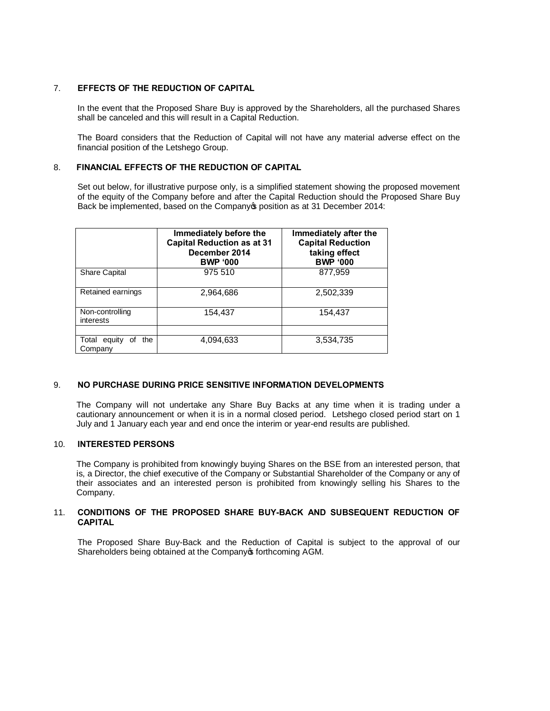# 7. **EFFECTS OF THE REDUCTION OF CAPITAL**

In the event that the Proposed Share Buy is approved by the Shareholders, all the purchased Shares shall be canceled and this will result in a Capital Reduction.

The Board considers that the Reduction of Capital will not have any material adverse effect on the financial position of the Letshego Group.

# 8. **FINANCIAL EFFECTS OF THE REDUCTION OF CAPITAL**

Set out below, for illustrative purpose only, is a simplified statement showing the proposed movement of the equity of the Company before and after the Capital Reduction should the Proposed Share Buy Back be implemented, based on the Company op position as at 31 December 2014:

|                                      | Immediately before the<br><b>Capital Reduction as at 31</b><br>December 2014<br><b>BWP '000</b> | Immediately after the<br><b>Capital Reduction</b><br>taking effect<br><b>BWP '000</b> |
|--------------------------------------|-------------------------------------------------------------------------------------------------|---------------------------------------------------------------------------------------|
| <b>Share Capital</b>                 | 975 510                                                                                         | 877,959                                                                               |
| Retained earnings                    | 2,964,686                                                                                       | 2,502,339                                                                             |
| Non-controlling<br>interests         | 154.437                                                                                         | 154,437                                                                               |
|                                      |                                                                                                 |                                                                                       |
| Total equity<br>the<br>Οt<br>Company | 4,094,633                                                                                       | 3,534,735                                                                             |

# 9. **NO PURCHASE DURING PRICE SENSITIVE INFORMATION DEVELOPMENTS**

The Company will not undertake any Share Buy Backs at any time when it is trading under a cautionary announcement or when it is in a normal closed period. Letshego closed period start on 1 July and 1 January each year and end once the interim or year-end results are published.

## 10. **INTERESTED PERSONS**

The Company is prohibited from knowingly buying Shares on the BSE from an interested person, that is, a Director, the chief executive of the Company or Substantial Shareholder of the Company or any of their associates and an interested person is prohibited from knowingly selling his Shares to the Company.

## 11. **CONDITIONS OF THE PROPOSED SHARE BUY-BACK AND SUBSEQUENT REDUCTION OF CAPITAL**

The Proposed Share Buy-Back and the Reduction of Capital is subject to the approval of our Shareholders being obtained at the Company of forthcoming AGM.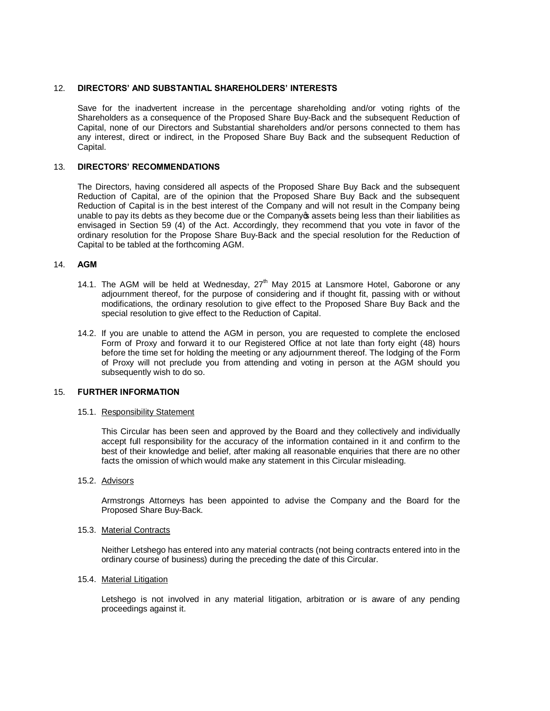## 12. **DIRECTORS' AND SUBSTANTIAL SHAREHOLDERS' INTERESTS**

Save for the inadvertent increase in the percentage shareholding and/or voting rights of the Shareholders as a consequence of the Proposed Share Buy-Back and the subsequent Reduction of Capital, none of our Directors and Substantial shareholders and/or persons connected to them has any interest, direct or indirect, in the Proposed Share Buy Back and the subsequent Reduction of Capital.

## 13. **DIRECTORS' RECOMMENDATIONS**

The Directors, having considered all aspects of the Proposed Share Buy Back and the subsequent Reduction of Capital, are of the opinion that the Proposed Share Buy Back and the subsequent Reduction of Capital is in the best interest of the Company and will not result in the Company being unable to pay its debts as they become due or the Company assets being less than their liabilities as envisaged in Section 59 (4) of the Act. Accordingly, they recommend that you vote in favor of the ordinary resolution for the Propose Share Buy-Back and the special resolution for the Reduction of Capital to be tabled at the forthcoming AGM.

### 14. **AGM**

- 14.1. The AGM will be held at Wednesday,  $27<sup>th</sup>$  May 2015 at Lansmore Hotel, Gaborone or any adjournment thereof, for the purpose of considering and if thought fit, passing with or without modifications, the ordinary resolution to give effect to the Proposed Share Buy Back and the special resolution to give effect to the Reduction of Capital.
- 14.2. If you are unable to attend the AGM in person, you are requested to complete the enclosed Form of Proxy and forward it to our Registered Office at not late than forty eight (48) hours before the time set for holding the meeting or any adjournment thereof. The lodging of the Form of Proxy will not preclude you from attending and voting in person at the AGM should you subsequently wish to do so.

## 15. **FURTHER INFORMATION**

#### 15.1. Responsibility Statement

This Circular has been seen and approved by the Board and they collectively and individually accept full responsibility for the accuracy of the information contained in it and confirm to the best of their knowledge and belief, after making all reasonable enquiries that there are no other facts the omission of which would make any statement in this Circular misleading.

15.2. Advisors

Armstrongs Attorneys has been appointed to advise the Company and the Board for the Proposed Share Buy-Back.

#### 15.3. Material Contracts

Neither Letshego has entered into any material contracts (not being contracts entered into in the ordinary course of business) during the preceding the date of this Circular.

### 15.4. Material Litigation

Letshego is not involved in any material litigation, arbitration or is aware of any pending proceedings against it.